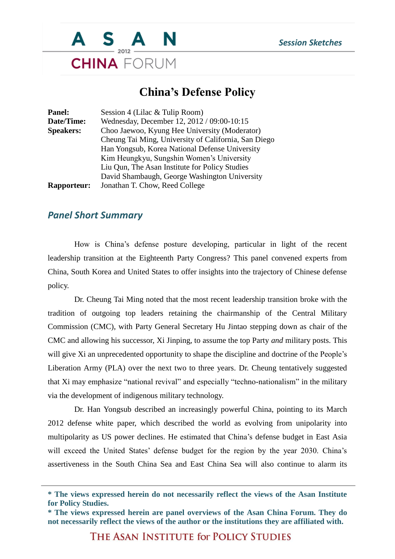

## **China's Defense Policy**

| <b>Panel:</b>      | Session 4 (Lilac & Tulip Room)                       |
|--------------------|------------------------------------------------------|
| Date/Time:         | Wednesday, December 12, 2012 / 09:00-10:15           |
| <b>Speakers:</b>   | Choo Jaewoo, Kyung Hee University (Moderator)        |
|                    | Cheung Tai Ming, University of California, San Diego |
|                    | Han Yongsub, Korea National Defense University       |
|                    | Kim Heungkyu, Sungshin Women's University            |
|                    | Liu Qun, The Asan Institute for Policy Studies       |
|                    | David Shambaugh, George Washington University        |
| <b>Rapporteur:</b> | Jonathan T. Chow, Reed College                       |

## *Panel Short Summary*

How is China's defense posture developing, particular in light of the recent leadership transition at the Eighteenth Party Congress? This panel convened experts from China, South Korea and United States to offer insights into the trajectory of Chinese defense policy.

Dr. Cheung Tai Ming noted that the most recent leadership transition broke with the tradition of outgoing top leaders retaining the chairmanship of the Central Military Commission (CMC), with Party General Secretary Hu Jintao stepping down as chair of the CMC and allowing his successor, Xi Jinping, to assume the top Party *and* military posts. This will give Xi an unprecedented opportunity to shape the discipline and doctrine of the People's Liberation Army (PLA) over the next two to three years. Dr. Cheung tentatively suggested that Xi may emphasize "national revival" and especially "techno-nationalism" in the military via the development of indigenous military technology.

Dr. Han Yongsub described an increasingly powerful China, pointing to its March 2012 defense white paper, which described the world as evolving from unipolarity into multipolarity as US power declines. He estimated that China's defense budget in East Asia will exceed the United States' defense budget for the region by the year 2030. China's assertiveness in the South China Sea and East China Sea will also continue to alarm its

THE ASAN INSTITUTE for POLICY STUDIES

**<sup>\*</sup> The views expressed herein do not necessarily reflect the views of the Asan Institute for Policy Studies.**

**<sup>\*</sup> The views expressed herein are panel overviews of the Asan China Forum. They do not necessarily reflect the views of the author or the institutions they are affiliated with.**